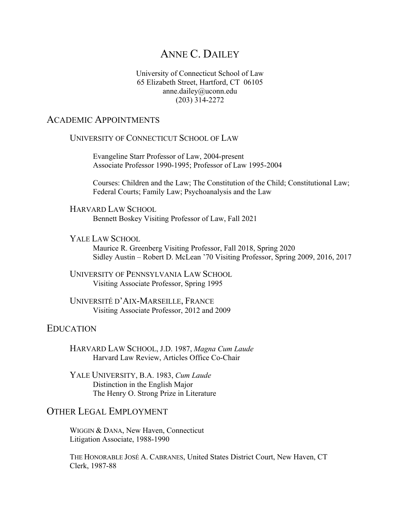# ANNE C. DAILEY

#### University of Connecticut School of Law 65 Elizabeth Street, Hartford, CT 06105 anne.dailey@uconn.edu (203) 314-2272

#### ACADEMIC APPOINTMENTS

#### UNIVERSITY OF CONNECTICUT SCHOOL OF LAW

Evangeline Starr Professor of Law, 2004-present Associate Professor 1990-1995; Professor of Law 1995-2004

Courses: Children and the Law; The Constitution of the Child; Constitutional Law; Federal Courts; Family Law; Psychoanalysis and the Law

HARVARD LAW SCHOOL Bennett Boskey Visiting Professor of Law, Fall 2021

#### YALE LAW SCHOOL

Maurice R. Greenberg Visiting Professor, Fall 2018, Spring 2020 Sidley Austin – Robert D. McLean '70 Visiting Professor, Spring 2009, 2016, 2017

UNIVERSITY OF PENNSYLVANIA LAW SCHOOL Visiting Associate Professor, Spring 1995

UNIVERSITÉ D'AIX-MARSEILLE, FRANCE Visiting Associate Professor, 2012 and 2009

### EDUCATION

HARVARD LAW SCHOOL, J.D. 1987, *Magna Cum Laude* Harvard Law Review, Articles Office Co-Chair

YALE UNIVERSITY, B.A. 1983, *Cum Laude* Distinction in the English Major The Henry O. Strong Prize in Literature

## OTHER LEGAL EMPLOYMENT

WIGGIN & DANA, New Haven, Connecticut Litigation Associate, 1988-1990

THE HONORABLE JOSÉ A. CABRANES, United States District Court, New Haven, CT Clerk, 1987-88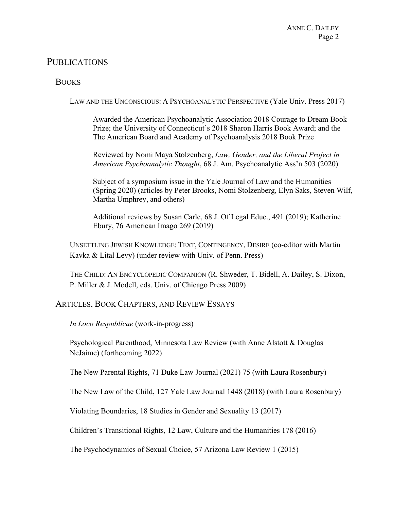## PUBLICATIONS

### **BOOKS**

LAW AND THE UNCONSCIOUS: A PSYCHOANALYTIC PERSPECTIVE (Yale Univ. Press 2017)

Awarded the American Psychoanalytic Association 2018 Courage to Dream Book Prize; the University of Connecticut's 2018 Sharon Harris Book Award; and the The American Board and Academy of Psychoanalysis 2018 Book Prize

Reviewed by Nomi Maya Stolzenberg, *Law, Gender, and the Liberal Project in American Psychoanalytic Thought*, 68 J. Am. Psychoanalytic Ass'n 503 (2020)

Subject of a symposium issue in the Yale Journal of Law and the Humanities (Spring 2020) (articles by Peter Brooks, Nomi Stolzenberg, Elyn Saks, Steven Wilf, Martha Umphrey, and others)

Additional reviews by Susan Carle, 68 J. Of Legal Educ., 491 (2019); Katherine Ebury, 76 American Imago 269 (2019)

UNSETTLING JEWISH KNOWLEDGE: TEXT, CONTINGENCY, DESIRE (co-editor with Martin Kavka & Lital Levy) (under review with Univ. of Penn. Press)

THE CHILD: AN ENCYCLOPEDIC COMPANION (R. Shweder, T. Bidell, A. Dailey, S. Dixon, P. Miller & J. Modell, eds. Univ. of Chicago Press 2009)

#### ARTICLES, BOOK CHAPTERS, AND REVIEW ESSAYS

*In Loco Respublicae* (work-in-progress)

Psychological Parenthood, Minnesota Law Review (with Anne Alstott & Douglas NeJaime) (forthcoming 2022)

The New Parental Rights, 71 Duke Law Journal (2021) 75 (with Laura Rosenbury)

The New Law of the Child, 127 Yale Law Journal 1448 (2018) (with Laura Rosenbury)

Violating Boundaries, 18 Studies in Gender and Sexuality 13 (2017)

Children's Transitional Rights, 12 Law, Culture and the Humanities 178 (2016)

The Psychodynamics of Sexual Choice, 57 Arizona Law Review 1 (2015)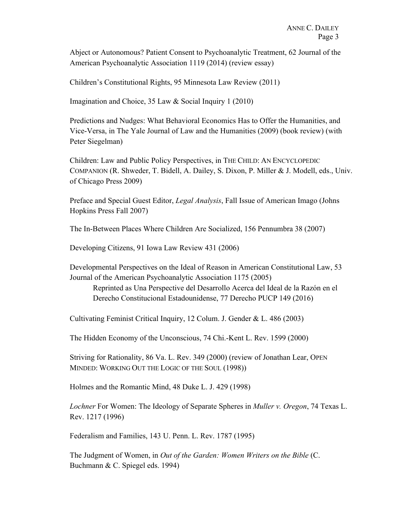Abject or Autonomous? Patient Consent to Psychoanalytic Treatment, 62 Journal of the American Psychoanalytic Association 1119 (2014) (review essay)

Children's Constitutional Rights, 95 Minnesota Law Review (2011)

Imagination and Choice, 35 Law & Social Inquiry 1 (2010)

Predictions and Nudges: What Behavioral Economics Has to Offer the Humanities, and Vice-Versa, in The Yale Journal of Law and the Humanities (2009) (book review) (with Peter Siegelman)

Children: Law and Public Policy Perspectives, in THE CHILD: AN ENCYCLOPEDIC COMPANION (R. Shweder, T. Bidell, A. Dailey, S. Dixon, P. Miller & J. Modell, eds., Univ. of Chicago Press 2009)

Preface and Special Guest Editor, *Legal Analysis*, Fall Issue of American Imago (Johns Hopkins Press Fall 2007)

The In-Between Places Where Children Are Socialized, 156 Pennumbra 38 (2007)

Developing Citizens, 91 Iowa Law Review 431 (2006)

Developmental Perspectives on the Ideal of Reason in American Constitutional Law, 53 Journal of the American Psychoanalytic Association 1175 (2005)

Reprinted as Una Perspective del Desarrollo Acerca del Ideal de la Razón en el Derecho Constitucional Estadounidense, 77 Derecho PUCP 149 (2016)

Cultivating Feminist Critical Inquiry, 12 Colum. J. Gender & L. 486 (2003)

The Hidden Economy of the Unconscious, 74 Chi.-Kent L. Rev. 1599 (2000)

Striving for Rationality, 86 Va. L. Rev. 349 (2000) (review of Jonathan Lear, OPEN MINDED: WORKING OUT THE LOGIC OF THE SOUL (1998))

Holmes and the Romantic Mind, 48 Duke L. J. 429 (1998)

*Lochner* For Women: The Ideology of Separate Spheres in *Muller v. Oregon*, 74 Texas L. Rev. 1217 (1996)

Federalism and Families, 143 U. Penn. L. Rev. 1787 (1995)

The Judgment of Women, in *Out of the Garden: Women Writers on the Bible* (C. Buchmann & C. Spiegel eds. 1994)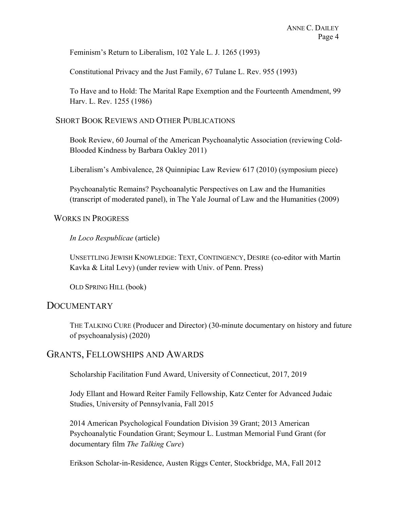Feminism's Return to Liberalism, 102 Yale L. J. 1265 (1993)

Constitutional Privacy and the Just Family, 67 Tulane L. Rev. 955 (1993)

To Have and to Hold: The Marital Rape Exemption and the Fourteenth Amendment, 99 Harv. L. Rev. 1255 (1986)

#### SHORT BOOK REVIEWS AND OTHER PUBLICATIONS

Book Review, 60 Journal of the American Psychoanalytic Association (reviewing Cold-Blooded Kindness by Barbara Oakley 2011)

Liberalism's Ambivalence, 28 Quinnipiac Law Review 617 (2010) (symposium piece)

Psychoanalytic Remains? Psychoanalytic Perspectives on Law and the Humanities (transcript of moderated panel), in The Yale Journal of Law and the Humanities (2009)

#### WORKS IN PROGRESS

#### *In Loco Respublicae* (article)

UNSETTLING JEWISH KNOWLEDGE: TEXT, CONTINGENCY, DESIRE (co-editor with Martin Kavka & Lital Levy) (under review with Univ. of Penn. Press)

OLD SPRING HILL (book)

## **DOCUMENTARY**

THE TALKING CURE (Producer and Director) (30-minute documentary on history and future of psychoanalysis) (2020)

## GRANTS, FELLOWSHIPS AND AWARDS

Scholarship Facilitation Fund Award, University of Connecticut, 2017, 2019

Jody Ellant and Howard Reiter Family Fellowship, Katz Center for Advanced Judaic Studies, University of Pennsylvania, Fall 2015

2014 American Psychological Foundation Division 39 Grant; 2013 American Psychoanalytic Foundation Grant; Seymour L. Lustman Memorial Fund Grant (for documentary film *The Talking Cure*)

Erikson Scholar-in-Residence, Austen Riggs Center, Stockbridge, MA, Fall 2012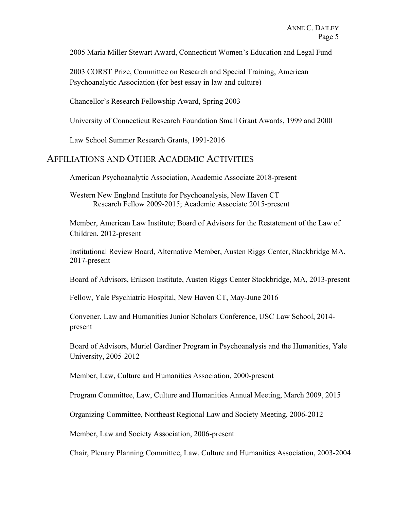2005 Maria Miller Stewart Award, Connecticut Women's Education and Legal Fund

2003 CORST Prize, Committee on Research and Special Training, American Psychoanalytic Association (for best essay in law and culture)

Chancellor's Research Fellowship Award, Spring 2003

University of Connecticut Research Foundation Small Grant Awards, 1999 and 2000

Law School Summer Research Grants, 1991-2016

## AFFILIATIONS AND OTHER ACADEMIC ACTIVITIES

American Psychoanalytic Association, Academic Associate 2018-present

Western New England Institute for Psychoanalysis, New Haven CT Research Fellow 2009-2015; Academic Associate 2015-present

Member, American Law Institute; Board of Advisors for the Restatement of the Law of Children, 2012-present

Institutional Review Board, Alternative Member, Austen Riggs Center, Stockbridge MA, 2017-present

Board of Advisors, Erikson Institute, Austen Riggs Center Stockbridge, MA, 2013-present

Fellow, Yale Psychiatric Hospital, New Haven CT, May-June 2016

Convener, Law and Humanities Junior Scholars Conference, USC Law School, 2014 present

Board of Advisors, Muriel Gardiner Program in Psychoanalysis and the Humanities, Yale University, 2005-2012

Member, Law, Culture and Humanities Association, 2000-present

Program Committee, Law, Culture and Humanities Annual Meeting, March 2009, 2015

Organizing Committee, Northeast Regional Law and Society Meeting, 2006-2012

Member, Law and Society Association, 2006-present

Chair, Plenary Planning Committee, Law, Culture and Humanities Association, 2003-2004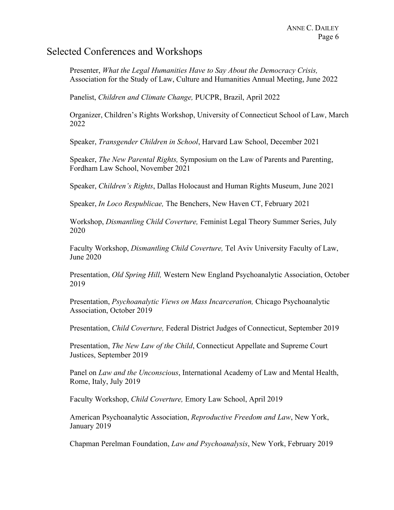## Selected Conferences and Workshops

Presenter, *What the Legal Humanities Have to Say About the Democracy Crisis,*  Association for the Study of Law, Culture and Humanities Annual Meeting, June 2022

Panelist, *Children and Climate Change,* PUCPR, Brazil, April 2022

Organizer, Children's Rights Workshop, University of Connecticut School of Law, March 2022

Speaker, *Transgender Children in School*, Harvard Law School, December 2021

Speaker, *The New Parental Rights,* Symposium on the Law of Parents and Parenting, Fordham Law School, November 2021

Speaker, *Children's Rights*, Dallas Holocaust and Human Rights Museum, June 2021

Speaker, *In Loco Respublicae,* The Benchers, New Haven CT, February 2021

Workshop, *Dismantling Child Coverture,* Feminist Legal Theory Summer Series, July 2020

Faculty Workshop, *Dismantling Child Coverture,* Tel Aviv University Faculty of Law, June 2020

Presentation, *Old Spring Hill,* Western New England Psychoanalytic Association, October 2019

Presentation, *Psychoanalytic Views on Mass Incarceration,* Chicago Psychoanalytic Association, October 2019

Presentation, *Child Coverture,* Federal District Judges of Connecticut, September 2019

Presentation, *The New Law of the Child*, Connecticut Appellate and Supreme Court Justices, September 2019

Panel on *Law and the Unconscious*, International Academy of Law and Mental Health, Rome, Italy, July 2019

Faculty Workshop, *Child Coverture,* Emory Law School, April 2019

American Psychoanalytic Association, *Reproductive Freedom and Law*, New York, January 2019

Chapman Perelman Foundation, *Law and Psychoanalysis*, New York, February 2019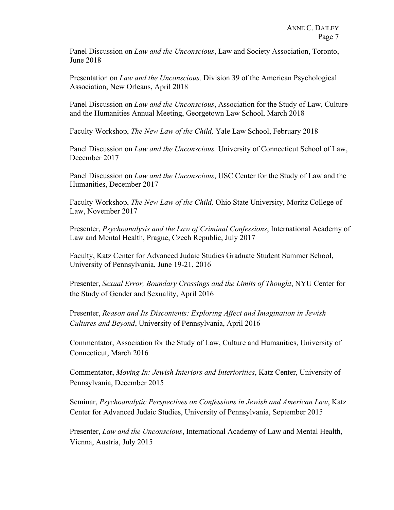Panel Discussion on *Law and the Unconscious*, Law and Society Association, Toronto, June 2018

Presentation on *Law and the Unconscious,* Division 39 of the American Psychological Association, New Orleans, April 2018

Panel Discussion on *Law and the Unconscious*, Association for the Study of Law, Culture and the Humanities Annual Meeting, Georgetown Law School, March 2018

Faculty Workshop, *The New Law of the Child,* Yale Law School, February 2018

Panel Discussion on *Law and the Unconscious,* University of Connecticut School of Law, December 2017

Panel Discussion on *Law and the Unconscious*, USC Center for the Study of Law and the Humanities, December 2017

Faculty Workshop, *The New Law of the Child,* Ohio State University, Moritz College of Law, November 2017

Presenter, *Psychoanalysis and the Law of Criminal Confessions*, International Academy of Law and Mental Health, Prague, Czech Republic, July 2017

Faculty, Katz Center for Advanced Judaic Studies Graduate Student Summer School, University of Pennsylvania, June 19-21, 2016

Presenter, *Sexual Error, Boundary Crossings and the Limits of Thought*, NYU Center for the Study of Gender and Sexuality, April 2016

Presenter, *Reason and Its Discontents: Exploring Affect and Imagination in Jewish Cultures and Beyond*, University of Pennsylvania, April 2016

Commentator, Association for the Study of Law, Culture and Humanities, University of Connecticut, March 2016

Commentator, *Moving In: Jewish Interiors and Interiorities*, Katz Center, University of Pennsylvania, December 2015

Seminar, *Psychoanalytic Perspectives on Confessions in Jewish and American Law*, Katz Center for Advanced Judaic Studies, University of Pennsylvania, September 2015

Presenter, *Law and the Unconscious*, International Academy of Law and Mental Health, Vienna, Austria, July 2015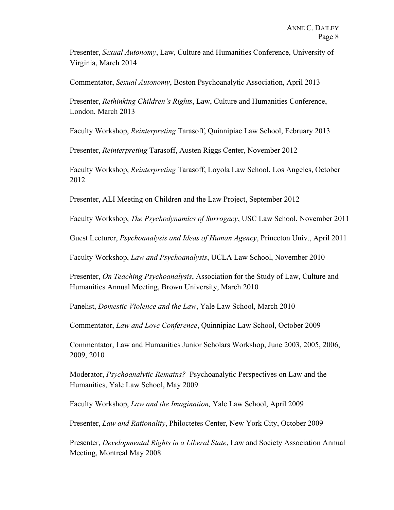Presenter, *Sexual Autonomy*, Law, Culture and Humanities Conference, University of Virginia, March 2014

Commentator, *Sexual Autonomy*, Boston Psychoanalytic Association, April 2013

Presenter, *Rethinking Children's Rights*, Law, Culture and Humanities Conference, London, March 2013

Faculty Workshop, *Reinterpreting* Tarasoff, Quinnipiac Law School, February 2013

Presenter, *Reinterpreting* Tarasoff, Austen Riggs Center, November 2012

Faculty Workshop, *Reinterpreting* Tarasoff, Loyola Law School, Los Angeles, October 2012

Presenter, ALI Meeting on Children and the Law Project, September 2012

Faculty Workshop, *The Psychodynamics of Surrogacy*, USC Law School, November 2011

Guest Lecturer, *Psychoanalysis and Ideas of Human Agency*, Princeton Univ., April 2011

Faculty Workshop, *Law and Psychoanalysis*, UCLA Law School, November 2010

Presenter, *On Teaching Psychoanalysis*, Association for the Study of Law, Culture and Humanities Annual Meeting, Brown University, March 2010

Panelist, *Domestic Violence and the Law*, Yale Law School, March 2010

Commentator, *Law and Love Conference*, Quinnipiac Law School, October 2009

Commentator, Law and Humanities Junior Scholars Workshop, June 2003, 2005, 2006, 2009, 2010

Moderator, *Psychoanalytic Remains?* Psychoanalytic Perspectives on Law and the Humanities, Yale Law School, May 2009

Faculty Workshop, *Law and the Imagination,* Yale Law School, April 2009

Presenter, *Law and Rationality*, Philoctetes Center, New York City, October 2009

Presenter, *Developmental Rights in a Liberal State*, Law and Society Association Annual Meeting, Montreal May 2008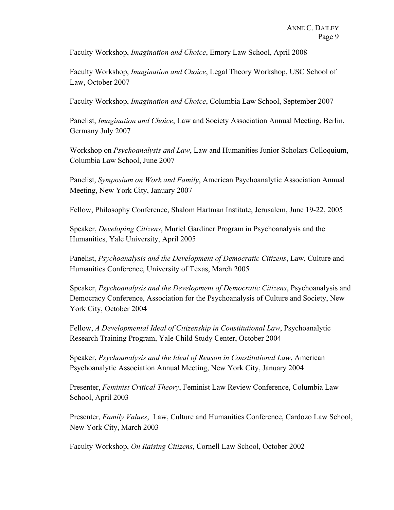Faculty Workshop, *Imagination and Choice*, Emory Law School, April 2008

Faculty Workshop, *Imagination and Choice*, Legal Theory Workshop, USC School of Law, October 2007

Faculty Workshop, *Imagination and Choice*, Columbia Law School, September 2007

Panelist, *Imagination and Choice*, Law and Society Association Annual Meeting, Berlin, Germany July 2007

Workshop on *Psychoanalysis and Law*, Law and Humanities Junior Scholars Colloquium, Columbia Law School, June 2007

Panelist, *Symposium on Work and Family*, American Psychoanalytic Association Annual Meeting, New York City, January 2007

Fellow, Philosophy Conference, Shalom Hartman Institute, Jerusalem, June 19-22, 2005

Speaker, *Developing Citizens*, Muriel Gardiner Program in Psychoanalysis and the Humanities, Yale University, April 2005

Panelist, *Psychoanalysis and the Development of Democratic Citizens*, Law, Culture and Humanities Conference, University of Texas, March 2005

Speaker, *Psychoanalysis and the Development of Democratic Citizens*, Psychoanalysis and Democracy Conference, Association for the Psychoanalysis of Culture and Society, New York City, October 2004

Fellow, *A Developmental Ideal of Citizenship in Constitutional Law*, Psychoanalytic Research Training Program, Yale Child Study Center, October 2004

Speaker, *Psychoanalysis and the Ideal of Reason in Constitutional Law*, American Psychoanalytic Association Annual Meeting, New York City, January 2004

Presenter, *Feminist Critical Theory*, Feminist Law Review Conference, Columbia Law School, April 2003

Presenter, *Family Values*, Law, Culture and Humanities Conference, Cardozo Law School, New York City, March 2003

Faculty Workshop, *On Raising Citizens*, Cornell Law School, October 2002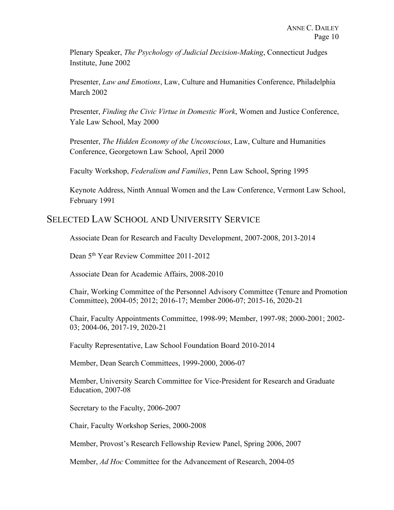Plenary Speaker, *The Psychology of Judicial Decision-Making*, Connecticut Judges Institute, June 2002

Presenter, *Law and Emotions*, Law, Culture and Humanities Conference, Philadelphia March 2002

Presenter, *Finding the Civic Virtue in Domestic Work*, Women and Justice Conference, Yale Law School, May 2000

Presenter, *The Hidden Economy of the Unconscious*, Law, Culture and Humanities Conference, Georgetown Law School, April 2000

Faculty Workshop, *Federalism and Families*, Penn Law School, Spring 1995

Keynote Address, Ninth Annual Women and the Law Conference, Vermont Law School, February 1991

## SELECTED LAW SCHOOL AND UNIVERSITY SERVICE

Associate Dean for Research and Faculty Development, 2007-2008, 2013-2014

Dean 5th Year Review Committee 2011-2012

Associate Dean for Academic Affairs, 2008-2010

Chair, Working Committee of the Personnel Advisory Committee (Tenure and Promotion Committee), 2004-05; 2012; 2016-17; Member 2006-07; 2015-16, 2020-21

Chair, Faculty Appointments Committee, 1998-99; Member, 1997-98; 2000-2001; 2002- 03; 2004-06, 2017-19, 2020-21

Faculty Representative, Law School Foundation Board 2010-2014

Member, Dean Search Committees, 1999-2000, 2006-07

Member, University Search Committee for Vice-President for Research and Graduate Education, 2007-08

Secretary to the Faculty, 2006-2007

Chair, Faculty Workshop Series, 2000-2008

Member, Provost's Research Fellowship Review Panel, Spring 2006, 2007

Member, *Ad Hoc* Committee for the Advancement of Research, 2004-05